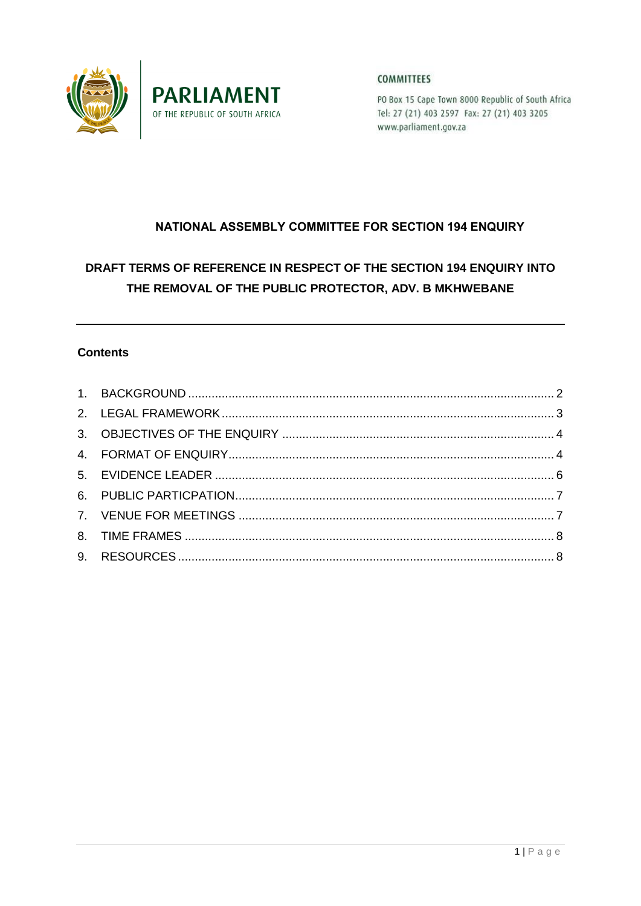



**COMMITTEES** 

PO Box 15 Cape Town 8000 Republic of South Africa Tel: 27 (21) 403 2597 Fax: 27 (21) 403 3205 www.parliament.gov.za

# NATIONAL ASSEMBLY COMMITTEE FOR SECTION 194 ENQUIRY

# DRAFT TERMS OF REFERENCE IN RESPECT OF THE SECTION 194 ENQUIRY INTO THE REMOVAL OF THE PUBLIC PROTECTOR, ADV. B MKHWEBANE

# **Contents**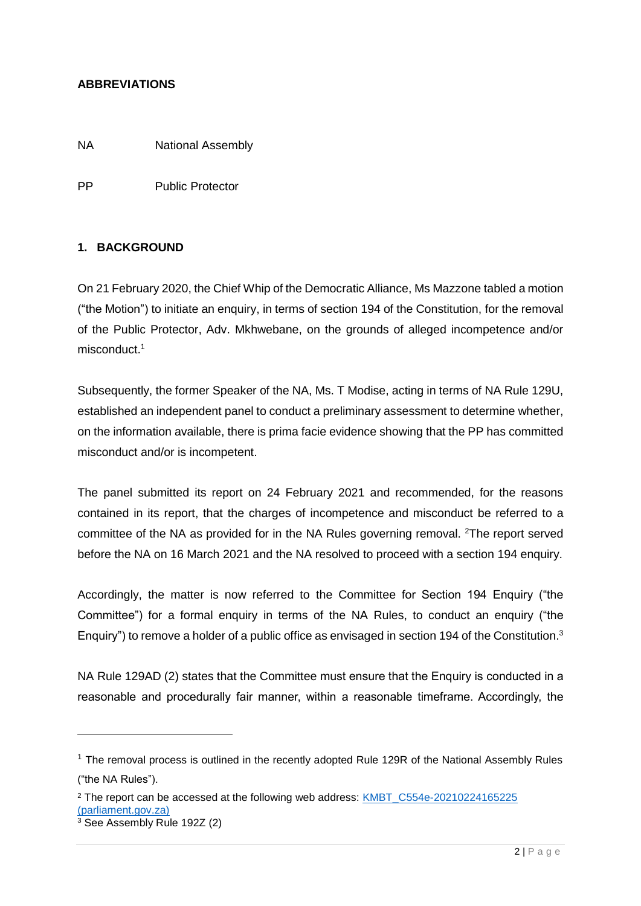## **ABBREVIATIONS**

NA National Assembly

PP Public Protector

#### <span id="page-1-0"></span>**1. BACKGROUND**

-

On 21 February 2020, the Chief Whip of the Democratic Alliance, Ms Mazzone tabled a motion ("the Motion") to initiate an enquiry, in terms of section 194 of the Constitution, for the removal of the Public Protector, Adv. Mkhwebane, on the grounds of alleged incompetence and/or misconduct. 1

Subsequently, the former Speaker of the NA, Ms. T Modise, acting in terms of NA Rule 129U, established an independent panel to conduct a preliminary assessment to determine whether, on the information available, there is prima facie evidence showing that the PP has committed misconduct and/or is incompetent.

The panel submitted its report on 24 February 2021 and recommended, for the reasons contained in its report, that the charges of incompetence and misconduct be referred to a committee of the NA as provided for in the NA Rules governing removal. <sup>2</sup>The report served before the NA on 16 March 2021 and the NA resolved to proceed with a section 194 enquiry.

Accordingly, the matter is now referred to the Committee for Section 194 Enquiry ("the Committee") for a formal enquiry in terms of the NA Rules, to conduct an enquiry ("the Enquiry") to remove a holder of a public office as envisaged in section 194 of the Constitution.<sup>3</sup>

NA Rule 129AD (2) states that the Committee must ensure that the Enquiry is conducted in a reasonable and procedurally fair manner, within a reasonable timeframe. Accordingly, the

 $1$  The removal process is outlined in the recently adopted Rule 129R of the National Assembly Rules ("the NA Rules").

<sup>&</sup>lt;sup>2</sup> The report can be accessed at the following web address: KMBT\_C554e-20210224165225 [\(parliament.gov.za\)](https://www.parliament.gov.za/storage/app/media/Pages/2021/march/01-03-2021_Report_of_the_independent_Panel_on_the_Public_Protector/FINAL_REPORT_OF_THE_INDEPENDENT_PANEL_EST_i.t.o_NA_RULE_129U_AND_Sect_194_OF_CONSTITUTION.pdf) <sup>3</sup> See Assembly Rule 192Z (2)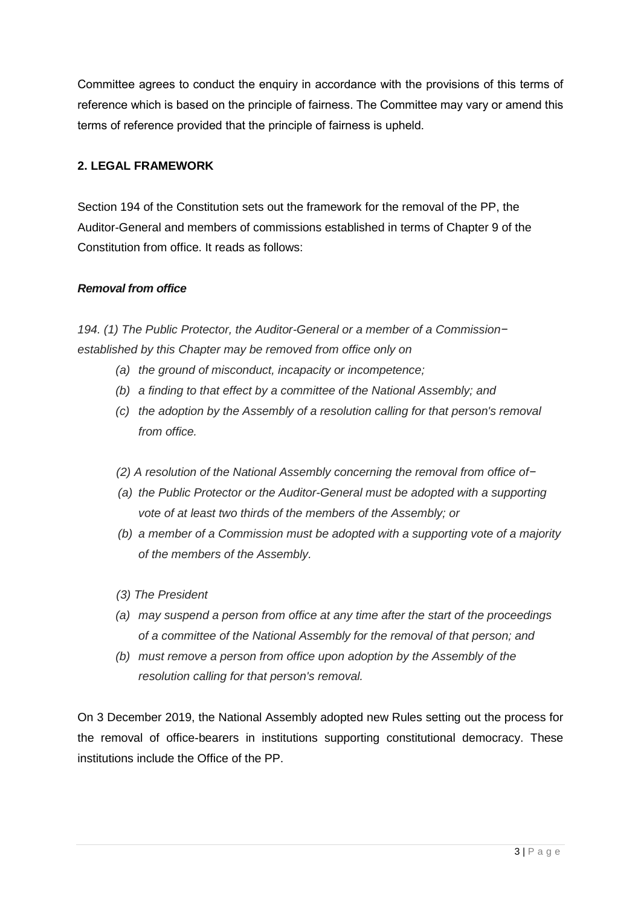Committee agrees to conduct the enquiry in accordance with the provisions of this terms of reference which is based on the principle of fairness. The Committee may vary or amend this terms of reference provided that the principle of fairness is upheld.

## <span id="page-2-0"></span>**2. LEGAL FRAMEWORK**

Section 194 of the Constitution sets out the framework for the removal of the PP, the Auditor-General and members of commissions established in terms of Chapter 9 of the Constitution from office. It reads as follows:

#### *Removal from office*

*194. (1) The Public Protector, the Auditor-General or a member of a Commission− established by this Chapter may be removed from office only on* 

- *(a) the ground of misconduct, incapacity or incompetence;*
- *(b) a finding to that effect by a committee of the National Assembly; and*
- *(c) the adoption by the Assembly of a resolution calling for that person's removal from office.*
- *(2) A resolution of the National Assembly concerning the removal from office of−*
- *(a) the Public Protector or the Auditor-General must be adopted with a supporting vote of at least two thirds of the members of the Assembly; or*
- *(b) a member of a Commission must be adopted with a supporting vote of a majority of the members of the Assembly.*
- *(3) The President*
- *(a) may suspend a person from office at any time after the start of the proceedings of a committee of the National Assembly for the removal of that person; and*
- *(b) must remove a person from office upon adoption by the Assembly of the resolution calling for that person's removal.*

On 3 December 2019, the National Assembly adopted new Rules setting out the process for the removal of office-bearers in institutions supporting constitutional democracy. These institutions include the Office of the PP.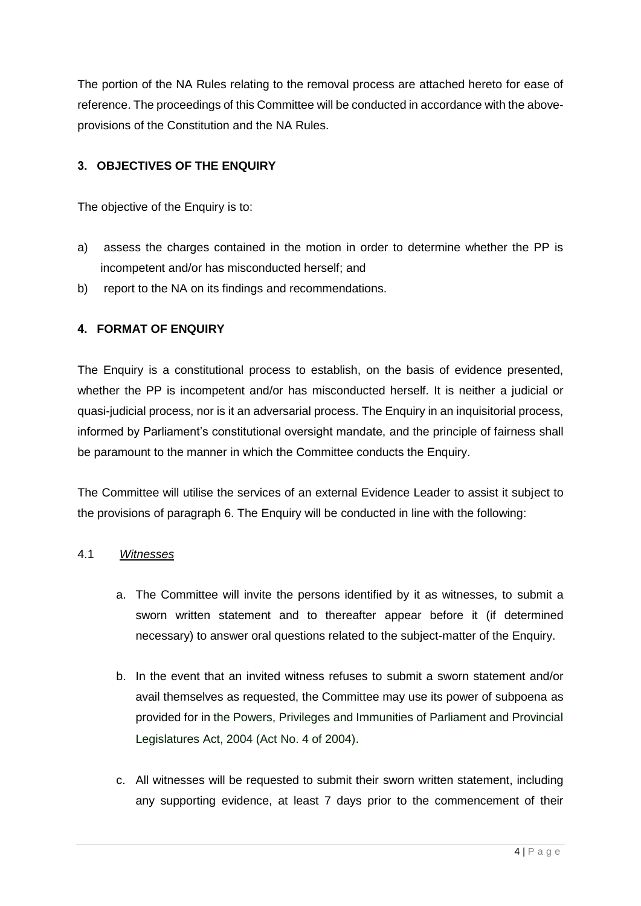The portion of the NA Rules relating to the removal process are attached hereto for ease of reference. The proceedings of this Committee will be conducted in accordance with the aboveprovisions of the Constitution and the NA Rules.

# <span id="page-3-0"></span>**3. OBJECTIVES OF THE ENQUIRY**

The objective of the Enquiry is to:

- a) assess the charges contained in the motion in order to determine whether the PP is incompetent and/or has misconducted herself; and
- b) report to the NA on its findings and recommendations.

# <span id="page-3-1"></span>**4. FORMAT OF ENQUIRY**

The Enquiry is a constitutional process to establish, on the basis of evidence presented, whether the PP is incompetent and/or has misconducted herself. It is neither a judicial or quasi-judicial process, nor is it an adversarial process. The Enquiry in an inquisitorial process, informed by Parliament's constitutional oversight mandate, and the principle of fairness shall be paramount to the manner in which the Committee conducts the Enquiry.

The Committee will utilise the services of an external Evidence Leader to assist it subject to the provisions of paragraph 6. The Enquiry will be conducted in line with the following:

#### 4.1 *Witnesses*

- a. The Committee will invite the persons identified by it as witnesses, to submit a sworn written statement and to thereafter appear before it (if determined necessary) to answer oral questions related to the subject-matter of the Enquiry.
- b. In the event that an invited witness refuses to submit a sworn statement and/or avail themselves as requested, the Committee may use its power of subpoena as provided for in the Powers, Privileges and Immunities of Parliament and Provincial Legislatures Act, 2004 (Act No. 4 of 2004).
- c. All witnesses will be requested to submit their sworn written statement, including any supporting evidence, at least 7 days prior to the commencement of their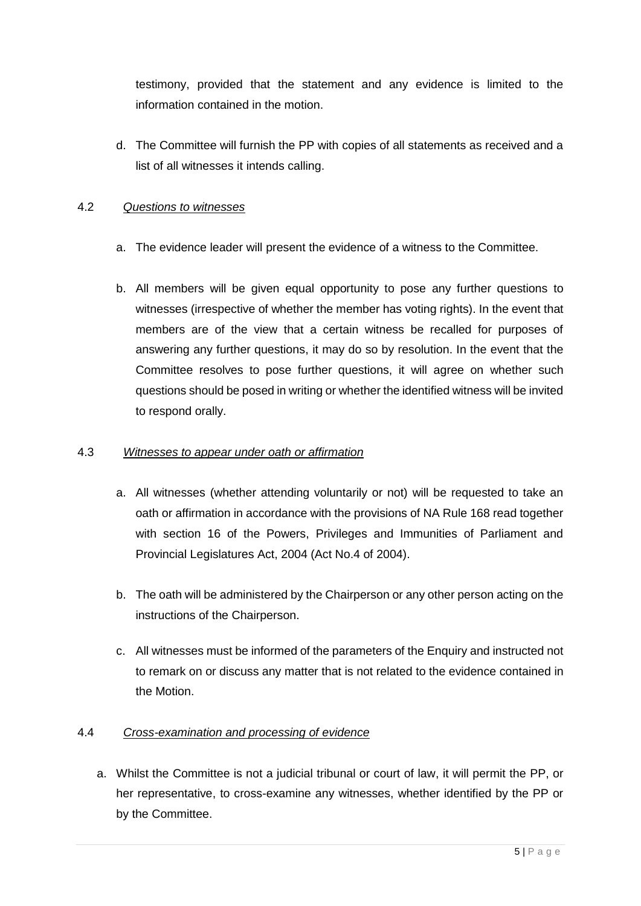testimony, provided that the statement and any evidence is limited to the information contained in the motion.

d. The Committee will furnish the PP with copies of all statements as received and a list of all witnesses it intends calling.

## 4.2 *Questions to witnesses*

- a. The evidence leader will present the evidence of a witness to the Committee.
- b. All members will be given equal opportunity to pose any further questions to witnesses (irrespective of whether the member has voting rights). In the event that members are of the view that a certain witness be recalled for purposes of answering any further questions, it may do so by resolution. In the event that the Committee resolves to pose further questions, it will agree on whether such questions should be posed in writing or whether the identified witness will be invited to respond orally.

#### 4.3 *Witnesses to appear under oath or affirmation*

- a. All witnesses (whether attending voluntarily or not) will be requested to take an oath or affirmation in accordance with the provisions of NA Rule 168 read together with section 16 of the Powers, Privileges and Immunities of Parliament and Provincial Legislatures Act, 2004 (Act No.4 of 2004).
- b. The oath will be administered by the Chairperson or any other person acting on the instructions of the Chairperson.
- c. All witnesses must be informed of the parameters of the Enquiry and instructed not to remark on or discuss any matter that is not related to the evidence contained in the Motion.

#### 4.4 *Cross-examination and processing of evidence*

a. Whilst the Committee is not a judicial tribunal or court of law, it will permit the PP, or her representative, to cross-examine any witnesses, whether identified by the PP or by the Committee.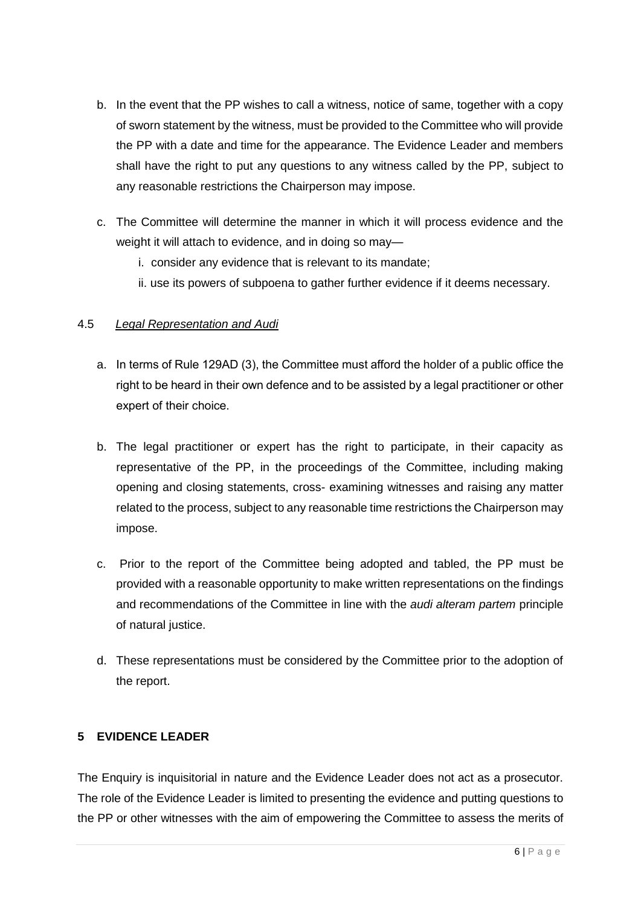- b. In the event that the PP wishes to call a witness, notice of same, together with a copy of sworn statement by the witness, must be provided to the Committee who will provide the PP with a date and time for the appearance. The Evidence Leader and members shall have the right to put any questions to any witness called by the PP, subject to any reasonable restrictions the Chairperson may impose.
- c. The Committee will determine the manner in which it will process evidence and the weight it will attach to evidence, and in doing so may
	- i. consider any evidence that is relevant to its mandate;
	- ii. use its powers of subpoena to gather further evidence if it deems necessary.

# 4.5 *Legal Representation and Audi*

- a. In terms of Rule 129AD (3), the Committee must afford the holder of a public office the right to be heard in their own defence and to be assisted by a legal practitioner or other expert of their choice.
- b. The legal practitioner or expert has the right to participate, in their capacity as representative of the PP, in the proceedings of the Committee, including making opening and closing statements, cross- examining witnesses and raising any matter related to the process, subject to any reasonable time restrictions the Chairperson may impose.
- c. Prior to the report of the Committee being adopted and tabled, the PP must be provided with a reasonable opportunity to make written representations on the findings and recommendations of the Committee in line with the *audi alteram partem* principle of natural justice.
- d. These representations must be considered by the Committee prior to the adoption of the report.

# <span id="page-5-0"></span>**5 EVIDENCE LEADER**

The Enquiry is inquisitorial in nature and the Evidence Leader does not act as a prosecutor. The role of the Evidence Leader is limited to presenting the evidence and putting questions to the PP or other witnesses with the aim of empowering the Committee to assess the merits of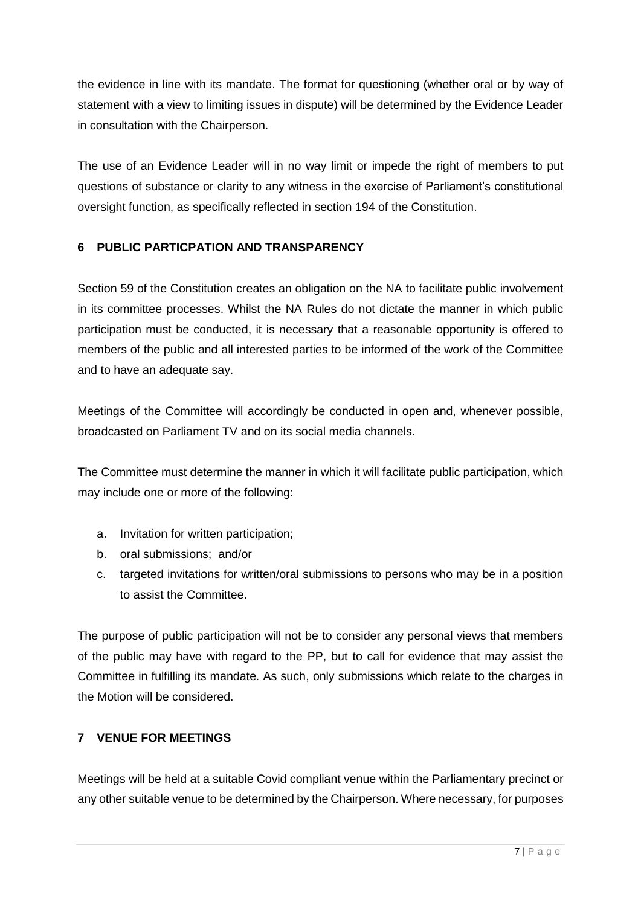the evidence in line with its mandate. The format for questioning (whether oral or by way of statement with a view to limiting issues in dispute) will be determined by the Evidence Leader in consultation with the Chairperson.

The use of an Evidence Leader will in no way limit or impede the right of members to put questions of substance or clarity to any witness in the exercise of Parliament's constitutional oversight function, as specifically reflected in section 194 of the Constitution.

# <span id="page-6-0"></span>**6 PUBLIC PARTICPATION AND TRANSPARENCY**

Section 59 of the Constitution creates an obligation on the NA to facilitate public involvement in its committee processes. Whilst the NA Rules do not dictate the manner in which public participation must be conducted, it is necessary that a reasonable opportunity is offered to members of the public and all interested parties to be informed of the work of the Committee and to have an adequate say.

Meetings of the Committee will accordingly be conducted in open and, whenever possible, broadcasted on Parliament TV and on its social media channels.

The Committee must determine the manner in which it will facilitate public participation, which may include one or more of the following:

- a. Invitation for written participation;
- b. oral submissions; and/or
- c. targeted invitations for written/oral submissions to persons who may be in a position to assist the Committee.

The purpose of public participation will not be to consider any personal views that members of the public may have with regard to the PP, but to call for evidence that may assist the Committee in fulfilling its mandate. As such, only submissions which relate to the charges in the Motion will be considered.

# <span id="page-6-1"></span>**7 VENUE FOR MEETINGS**

Meetings will be held at a suitable Covid compliant venue within the Parliamentary precinct or any other suitable venue to be determined by the Chairperson. Where necessary, for purposes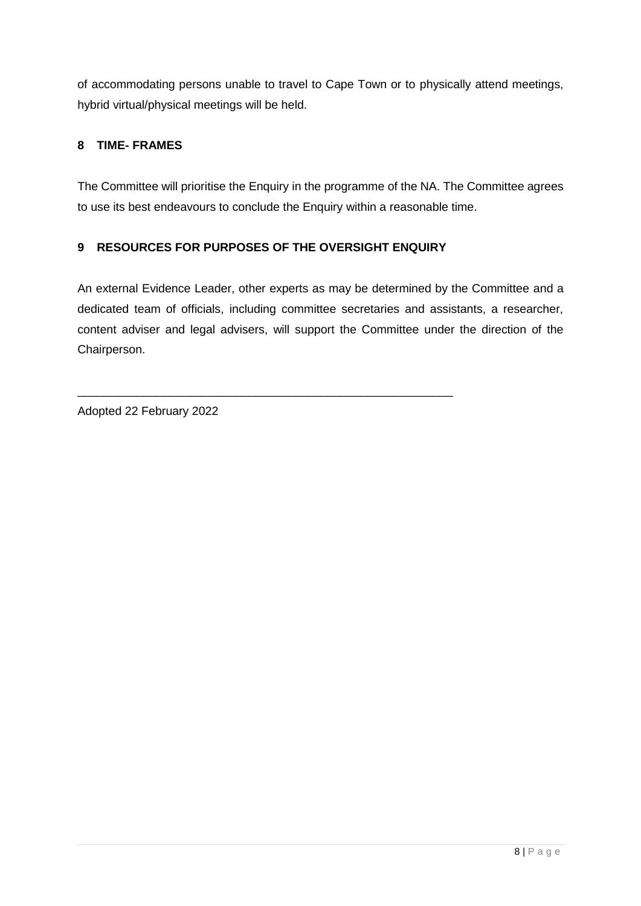of accommodating persons unable to travel to Cape Town or to physically attend meetings, hybrid virtual/physical meetings will be held.

# <span id="page-7-0"></span>**8 TIME- FRAMES**

The Committee will prioritise the Enquiry in the programme of the NA. The Committee agrees to use its best endeavours to conclude the Enquiry within a reasonable time.

# <span id="page-7-1"></span>**9 RESOURCES FOR PURPOSES OF THE OVERSIGHT ENQUIRY**

\_\_\_\_\_\_\_\_\_\_\_\_\_\_\_\_\_\_\_\_\_\_\_\_\_\_\_\_\_\_\_\_\_\_\_\_\_\_\_\_\_\_\_\_\_\_\_\_\_\_\_\_\_\_\_\_\_

An external Evidence Leader, other experts as may be determined by the Committee and a dedicated team of officials, including committee secretaries and assistants, a researcher, content adviser and legal advisers, will support the Committee under the direction of the Chairperson.

Adopted 22 February 2022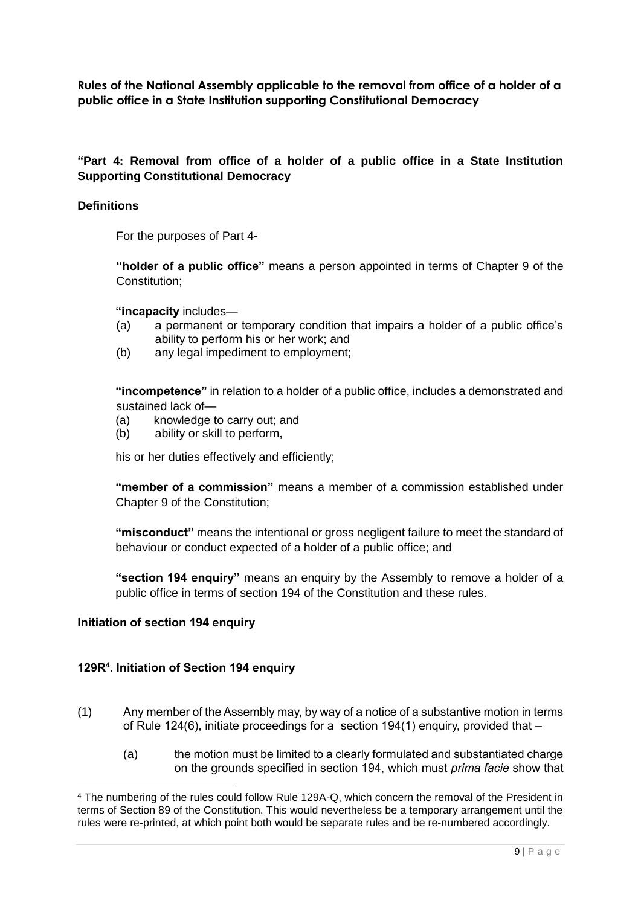**Rules of the National Assembly applicable to the removal from office of a holder of a public office in a State Institution supporting Constitutional Democracy**

## **"Part 4: Removal from office of a holder of a public office in a State Institution Supporting Constitutional Democracy**

#### **Definitions**

For the purposes of Part 4-

**"holder of a public office"** means a person appointed in terms of Chapter 9 of the Constitution;

**"incapacity** includes—

- (a) a permanent or temporary condition that impairs a holder of a public office's ability to perform his or her work; and
- (b) any legal impediment to employment;

**"incompetence"** in relation to a holder of a public office, includes a demonstrated and sustained lack of—

- (a) knowledge to carry out; and
- (b) ability or skill to perform,

his or her duties effectively and efficiently;

**"member of a commission"** means a member of a commission established under Chapter 9 of the Constitution;

**"misconduct"** means the intentional or gross negligent failure to meet the standard of behaviour or conduct expected of a holder of a public office; and

**"section 194 enquiry"** means an enquiry by the Assembly to remove a holder of a public office in terms of section 194 of the Constitution and these rules.

#### **Initiation of section 194 enquiry**

-

#### **129R<sup>4</sup> . Initiation of Section 194 enquiry**

- (1) Any member of the Assembly may, by way of a notice of a substantive motion in terms of Rule 124(6), initiate proceedings for a section 194(1) enquiry, provided that  $-$ 
	- (a) the motion must be limited to a clearly formulated and substantiated charge on the grounds specified in section 194, which must *prima facie* show that

<sup>4</sup> The numbering of the rules could follow Rule 129A-Q, which concern the removal of the President in terms of Section 89 of the Constitution. This would nevertheless be a temporary arrangement until the rules were re-printed, at which point both would be separate rules and be re-numbered accordingly.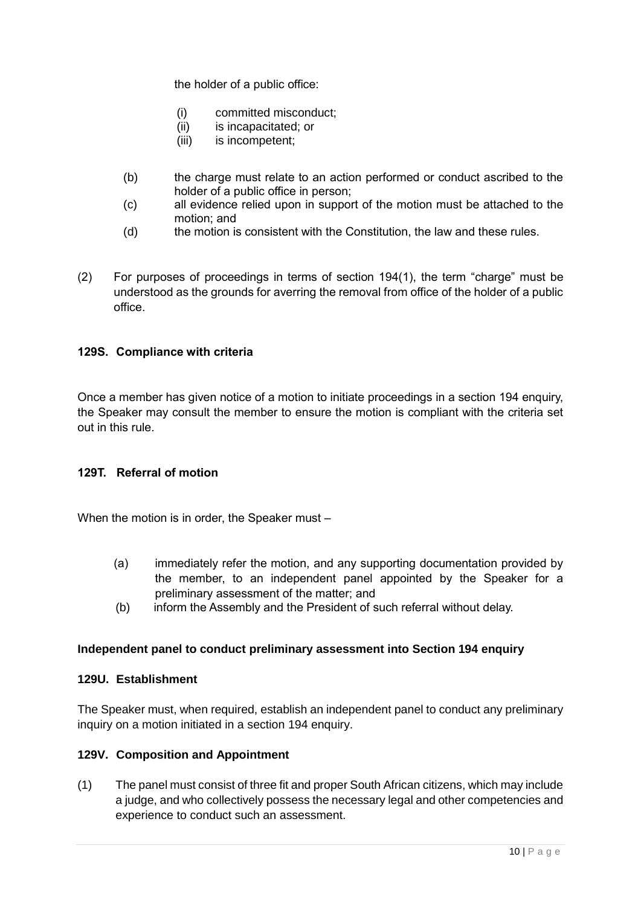the holder of a public office:

- (i) committed misconduct;
- (ii) is incapacitated; or
- (iii) is incompetent;
- (b) the charge must relate to an action performed or conduct ascribed to the holder of a public office in person;
- (c) all evidence relied upon in support of the motion must be attached to the motion; and
- (d) the motion is consistent with the Constitution, the law and these rules.
- (2) For purposes of proceedings in terms of section 194(1), the term "charge" must be understood as the grounds for averring the removal from office of the holder of a public office.

#### **129S. Compliance with criteria**

Once a member has given notice of a motion to initiate proceedings in a section 194 enquiry, the Speaker may consult the member to ensure the motion is compliant with the criteria set out in this rule.

#### **129T. Referral of motion**

When the motion is in order, the Speaker must –

- (a) immediately refer the motion, and any supporting documentation provided by the member, to an independent panel appointed by the Speaker for a preliminary assessment of the matter; and
- (b) inform the Assembly and the President of such referral without delay.

#### **Independent panel to conduct preliminary assessment into Section 194 enquiry**

#### **129U. Establishment**

The Speaker must, when required, establish an independent panel to conduct any preliminary inquiry on a motion initiated in a section 194 enquiry.

#### **129V. Composition and Appointment**

(1) The panel must consist of three fit and proper South African citizens, which may include a judge, and who collectively possess the necessary legal and other competencies and experience to conduct such an assessment.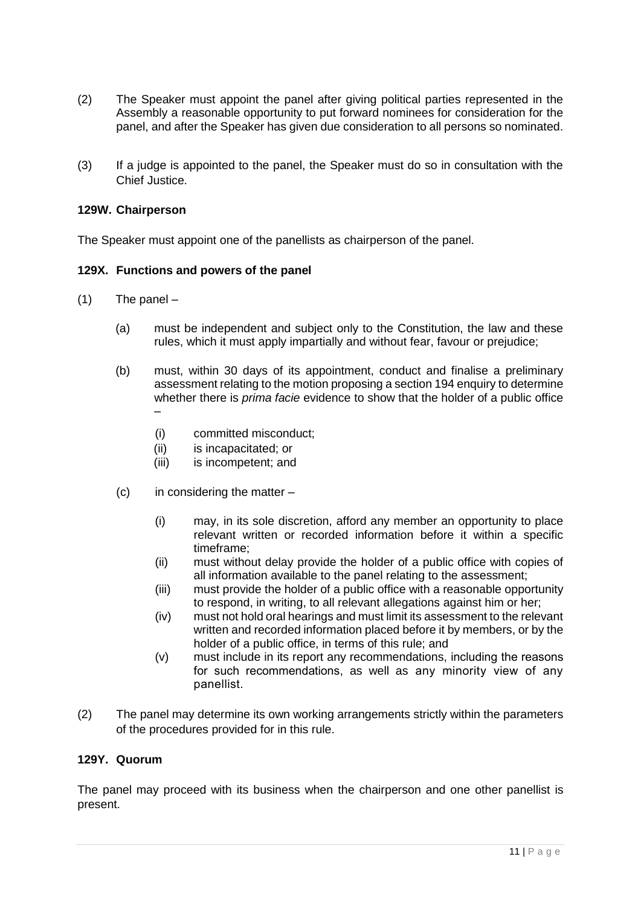- (2) The Speaker must appoint the panel after giving political parties represented in the Assembly a reasonable opportunity to put forward nominees for consideration for the panel, and after the Speaker has given due consideration to all persons so nominated.
- (3) If a judge is appointed to the panel, the Speaker must do so in consultation with the Chief Justice.

#### **129W. Chairperson**

The Speaker must appoint one of the panellists as chairperson of the panel.

#### **129X. Functions and powers of the panel**

- (1) The panel
	- (a) must be independent and subject only to the Constitution, the law and these rules, which it must apply impartially and without fear, favour or prejudice;
	- (b) must, within 30 days of its appointment, conduct and finalise a preliminary assessment relating to the motion proposing a section 194 enquiry to determine whether there is *prima facie* evidence to show that the holder of a public office –
		- (i) committed misconduct;
		- (ii) is incapacitated; or
		- (iii) is incompetent; and
	- $(c)$  in considering the matter
		- (i) may, in its sole discretion, afford any member an opportunity to place relevant written or recorded information before it within a specific timeframe;
		- (ii) must without delay provide the holder of a public office with copies of all information available to the panel relating to the assessment;
		- (iii) must provide the holder of a public office with a reasonable opportunity to respond, in writing, to all relevant allegations against him or her;
		- (iv) must not hold oral hearings and must limit its assessment to the relevant written and recorded information placed before it by members, or by the holder of a public office, in terms of this rule; and
		- (v) must include in its report any recommendations, including the reasons for such recommendations, as well as any minority view of any panellist.
- (2) The panel may determine its own working arrangements strictly within the parameters of the procedures provided for in this rule.

#### **129Y. Quorum**

The panel may proceed with its business when the chairperson and one other panellist is present.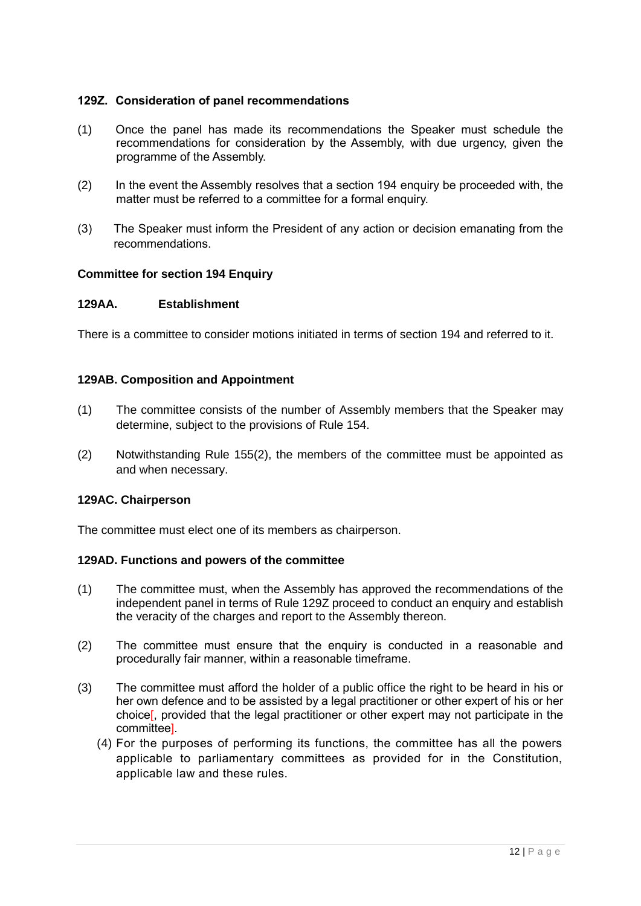#### **129Z. Consideration of panel recommendations**

- (1) Once the panel has made its recommendations the Speaker must schedule the recommendations for consideration by the Assembly, with due urgency, given the programme of the Assembly.
- (2) In the event the Assembly resolves that a section 194 enquiry be proceeded with, the matter must be referred to a committee for a formal enquiry.
- (3) The Speaker must inform the President of any action or decision emanating from the recommendations.

#### **Committee for section 194 Enquiry**

#### **129AA. Establishment**

There is a committee to consider motions initiated in terms of section 194 and referred to it.

#### **129AB. Composition and Appointment**

- (1) The committee consists of the number of Assembly members that the Speaker may determine, subject to the provisions of Rule 154.
- (2) Notwithstanding Rule 155(2), the members of the committee must be appointed as and when necessary.

#### **129AC. Chairperson**

The committee must elect one of its members as chairperson.

#### **129AD. Functions and powers of the committee**

- (1) The committee must, when the Assembly has approved the recommendations of the independent panel in terms of Rule 129Z proceed to conduct an enquiry and establish the veracity of the charges and report to the Assembly thereon.
- (2) The committee must ensure that the enquiry is conducted in a reasonable and procedurally fair manner, within a reasonable timeframe.
- (3) The committee must afford the holder of a public office the right to be heard in his or her own defence and to be assisted by a legal practitioner or other expert of his or her choice[, provided that the legal practitioner or other expert may not participate in the committee].
	- (4) For the purposes of performing its functions, the committee has all the powers applicable to parliamentary committees as provided for in the Constitution, applicable law and these rules.